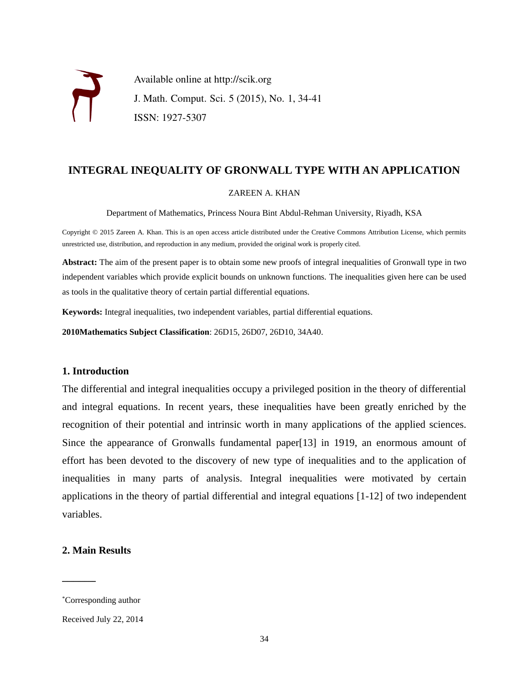

Available online at http://scik.org J. Math. Comput. Sci. 5 (2015), No. 1, 34-41 ISSN: 1927-5307

# **INTEGRAL INEQUALITY OF GRONWALL TYPE WITH AN APPLICATION**

#### ZAREEN A. KHAN

Department of Mathematics, Princess Noura Bint Abdul-Rehman University, Riyadh, KSA

Copyright © 2015 Zareen A. Khan. This is an open access article distributed under the Creative Commons Attribution License, which permits unrestricted use, distribution, and reproduction in any medium, provided the original work is properly cited.

**Abstract:** The aim of the present paper is to obtain some new proofs of integral inequalities of Gronwall type in two independent variables which provide explicit bounds on unknown functions. The inequalities given here can be used as tools in the qualitative theory of certain partial differential equations.

**Keywords:** Integral inequalities, two independent variables, partial differential equations.

**2010Mathematics Subject Classification**: 26D15, 26D07, 26D10, 34A40.

## **1. Introduction**

The differential and integral inequalities occupy a privileged position in the theory of differential and integral equations. In recent years, these inequalities have been greatly enriched by the recognition of their potential and intrinsic worth in many applications of the applied sciences. Since the appearance of Gronwalls fundamental paper[13] in 1919, an enormous amount of effort has been devoted to the discovery of new type of inequalities and to the application of inequalities in many parts of analysis. Integral inequalities were motivated by certain applications in the theory of partial differential and integral equations [1-12] of two independent variables.

## **2. Main Results**

 $\mathcal{L}_\text{max}$ 

<sup>\*</sup>Corresponding author

Received July 22, 2014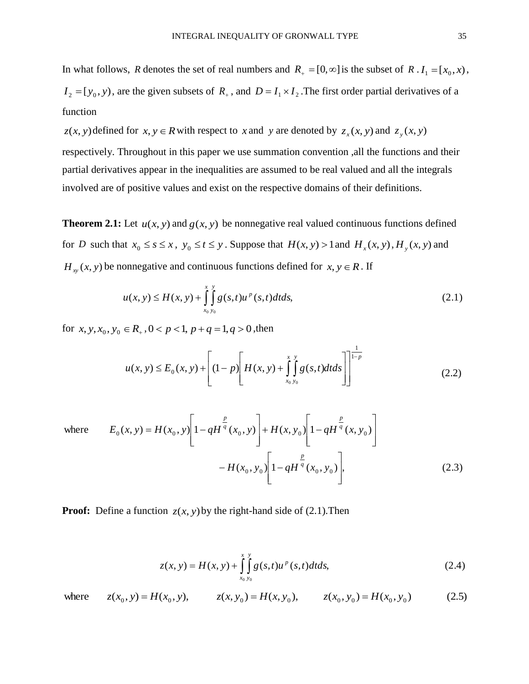In what follows, R denotes the set of real numbers and  $R_+ = [0, \infty]$  is the subset of R .  $I_1 = [x_0, x)$ ,  $I_2 = [y_0, y)$ , are the given subsets of  $R_+$ , and  $D = I_1 \times I_2$ . The first order partial derivatives of a function

 $z(x, y)$  defined for  $x, y \in R$  with respect to *x* and *y* are denoted by  $z_x(x, y)$  and  $z_y(x, y)$ 

respectively. Throughout in this paper we use summation convention ,all the functions and their partial derivatives appear in the inequalities are assumed to be real valued and all the integrals involved are of positive values and exist on the respective domains of their definitions.

**Theorem 2.1:** Let  $u(x, y)$  and  $g(x, y)$  be nonnegative real valued continuous functions defined for *D* such that  $x_0 \le s \le x$ ,  $y_0 \le t \le y$ . Suppose that  $H(x, y) > 1$  and  $H_x(x, y)$ ,  $H_y(x, y)$  and  $H_{xy}(x, y)$  be nonnegative and continuous functions defined for  $x, y \in R$ . If

$$
u(x, y) \le H(x, y) + \int_{x_0, y_0}^{x} \int_{y_0}^{y} g(s, t) u^p(s, t) dt ds,
$$
\n(2.1)

for  $x, y, x_0, y_0 \in R_+$ ,  $0 < p < 1$ ,  $p + q = 1$ ,  $q > 0$ , then

$$
u(x, y) \le E_0(x, y) + \left[ (1-p) \left[ H(x, y) + \int_{x_0, y_0}^{x} g(s, t) dt ds \right] \right]_{(2.2)}
$$

where 
$$
E_0(x, y) = H(x_0, y) \left[ 1 - qH^{\frac{p}{q}}(x_0, y) \right] + H(x, y_0) \left[ 1 - qH^{\frac{p}{q}}(x, y_0) \right]
$$
  

$$
- H(x_0, y_0) \left[ 1 - qH^{\frac{p}{q}}(x_0, y_0) \right],
$$
 (2.3)

**Proof:** Define a function  $z(x, y)$  by the right-hand side of (2.1). Then

$$
z(x, y) = H(x, y) + \int_{x_0, y_0}^{x} \int_{y_0}^{y} g(s, t) u^{p}(s, t) dt ds,
$$
\n(2.4)

where  $z(x_0, y) = H(x_0, y)$ ,  $z(x, y_0) = H(x, y_0)$ ,  $z(x_0, y_0) = H(x_0, y_0)$  (2.5)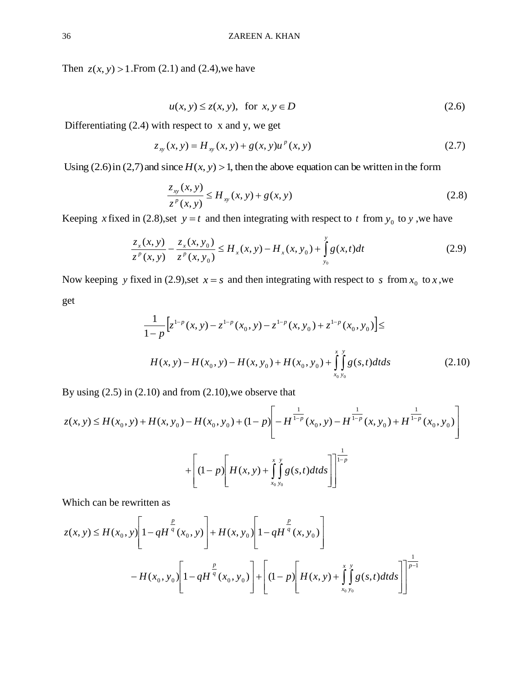Then  $z(x, y) > 1$ . From (2.1) and (2.4), we have

$$
u(x, y) \le z(x, y), \text{ for } x, y \in D
$$
\n
$$
(2.6)
$$

Differentiating (2.4) with respect to x and y, we get

$$
z_{xy}(x, y) = H_{xy}(x, y) + g(x, y)u^{p}(x, y)
$$
\n(2.7)

Using  $(2.6)$  in  $(2,7)$  and since  $H(x, y) > 1$ , then the above equation can be written in the form

$$
\frac{z_{xy}(x, y)}{z^{p}(x, y)} \le H_{xy}(x, y) + g(x, y)
$$
\n(2.8)

Keeping *x* fixed in (2.8), set  $y = t$  and then integrating with respect to *t* from  $y_0$  to *y*, we have

$$
\frac{z_x(x, y)}{z^p(x, y)} - \frac{z_x(x, y_0)}{z^p(x, y_0)} \le H_x(x, y) - H_x(x, y_0) + \int_{y_0}^{y} g(x, t) dt
$$
\n(2.9)

Now keeping y fixed in (2.9), set  $x = s$  and then integrating with respect to s from  $x_0$  to x, we get

$$
\frac{1}{1-p} \Big[ z^{1-p} (x, y) - z^{1-p} (x_0, y) - z^{1-p} (x, y_0) + z^{1-p} (x_0, y_0) \Big] \le
$$
  

$$
H(x, y) - H(x_0, y) - H(x, y_0) + H(x_0, y_0) + \int_{x_0, y_0}^{x} g(s, t) dt ds
$$
(2.10)

By using  $(2.5)$  in  $(2.10)$  and from  $(2.10)$ , we observe that

$$
z(x, y) \le H(x_0, y) + H(x, y_0) - H(x_0, y_0) + (1 - p) \left[ -H^{\frac{1}{1 - p}}(x_0, y) - H^{\frac{1}{1 - p}}(x, y_0) + H^{\frac{1}{1 - p}}(x_0, y_0) \right]
$$

$$
+ \left[ (1 - p) \left[ H(x, y) + \int_{x_0, y_0}^{x} g(s, t) dt ds \right] \right]^{\frac{1}{1 - p}}
$$

Which can be rewritten as

Which can be rewritten as  
\n
$$
z(x, y) \le H(x_0, y) \left[ 1 - qH^{\frac{p}{q}}(x_0, y) \right] + H(x, y_0) \left[ 1 - qH^{\frac{p}{q}}(x, y_0) \right]
$$
\n
$$
-H(x_0, y_0) \left[ 1 - qH^{\frac{p}{q}}(x_0, y_0) \right] + \left[ (1 - p) \left[ H(x, y) + \int_{x_0, y_0}^{x} g(s, t) dt ds \right] \right]^{\frac{1}{p-1}}
$$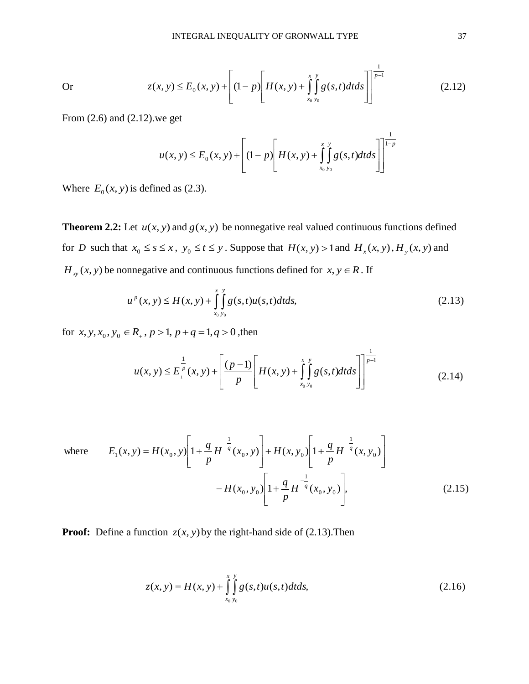$$
z(x, y) \le E_0(x, y) + \left[ (1-p) \left[ H(x, y) + \int_{x_0, y_0}^{x} g(s, t) dt ds \right] \right]^{\frac{1}{p-1}}
$$
(2.12)

From (2.6) and (2.12).we get

Or

$$
u(x, y) \le E_0(x, y) + \left[ (1-p) \left[ H(x, y) + \int_{x_0}^{x} \int_{y_0}^{y} g(s, t) dt ds \right] \right]_{1-p}^{\frac{1}{1-p}}
$$

Where  $E_0(x, y)$  is defined as (2.3).

**Theorem 2.2:** Let  $u(x, y)$  and  $g(x, y)$  be nonnegative real valued continuous functions defined for *D* such that  $x_0 \le s \le x$ ,  $y_0 \le t \le y$ . Suppose that  $H(x, y) > 1$  and  $H_x(x, y)$ ,  $H_y(x, y)$  and  $H_{xy}(x, y)$  be nonnegative and continuous functions defined for  $x, y \in R$ . If

$$
u^{p}(x, y) \le H(x, y) + \int_{x_0, y_0}^{x} g(s, t) u(s, t) dt ds,
$$
\n(2.13)

for  $x, y, x_0, y_0 \in R_+$ ,  $p > 1$ ,  $p + q = 1$ ,  $q > 0$ , then

$$
u(x, y) \le E_{1}^{\frac{1}{p}}(x, y) + \left[\frac{(p-1)}{p}\left[H(x, y) + \int_{x_{0}, y_{0}}^{x} g(s, t)dt ds\right]\right]^{\frac{1}{p-1}}
$$
(2.14)

where 
$$
E_1(x, y) = H(x_0, y) \left[ 1 + \frac{q}{p} H^{-\frac{1}{q}}(x_0, y) \right] + H(x, y_0) \left[ 1 + \frac{q}{p} H^{-\frac{1}{q}}(x, y_0) \right]
$$
  
-  $H(x_0, y_0) \left[ 1 + \frac{q}{p} H^{-\frac{1}{q}}(x_0, y_0) \right],$  (2.15)

**Proof:** Define a function  $z(x, y)$  by the right-hand side of (2.13). Then

$$
z(x, y) = H(x, y) + \int_{x_0, y_0}^{x = y} g(s, t)u(s, t)dt ds,
$$
\n(2.16)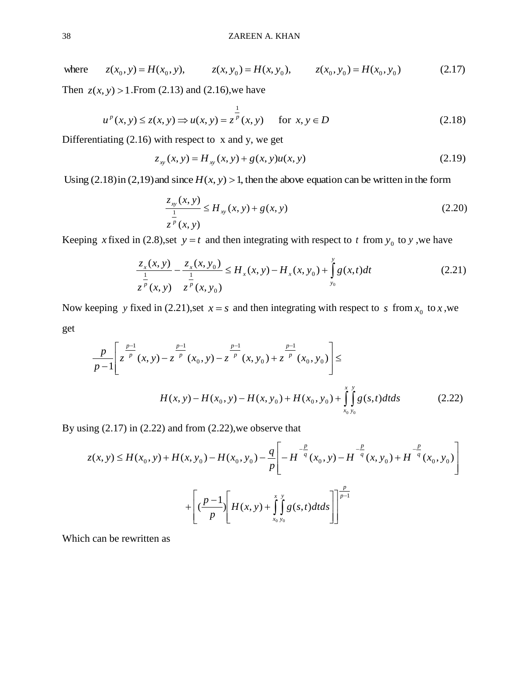where  $z(x_0, y) = H(x_0, y)$ ,  $z(x, y_0) = H(x, y_0)$ ,  $z(x_0, y_0) = H(x_0, y_0)$  (2.17)

Then  $z(x, y) > 1$ . From (2.13) and (2.16), we have

$$
u^{p}(x, y) \le z(x, y) \Rightarrow u(x, y) = z^{\frac{1}{p}}(x, y)
$$
 for  $x, y \in D$  (2.18)

Differentiating  $(2.16)$  with respect to x and y, we get

$$
z_{xy}(x, y) = H_{xy}(x, y) + g(x, y)u(x, y)
$$
\n(2.19)

Using  $(2.18)$  in  $(2.19)$  and since  $H(x, y) > 1$ , then the above equation can be written in the form

$$
\frac{z_{xy}(x, y)}{\frac{1}{z^p}(x, y)} \le H_{xy}(x, y) + g(x, y)
$$
\n(2.20)

Keeping *x* fixed in (2.8), set  $y = t$  and then integrating with respect to *t* from  $y_0$  to *y*, we have

$$
\frac{z_x(x, y)}{\frac{1}{z^p}(x, y)} - \frac{z_x(x, y_0)}{\frac{1}{z^p}(x, y_0)} \le H_x(x, y) - H_x(x, y_0) + \int_{y_0}^{y} g(x, t) dt
$$
\n(2.21)

Now keeping y fixed in (2.21), set  $x = s$  and then integrating with respect to s from  $x_0$  to x, we get

$$
\frac{p}{p-1} \left[ z^{\frac{p-1}{p}}(x, y) - z^{\frac{p-1}{p}}(x_0, y) - z^{\frac{p-1}{p}}(x, y_0) + z^{\frac{p-1}{p}}(x_0, y_0) \right] \le
$$
\n
$$
H(x, y) - H(x_0, y) - H(x, y_0) + H(x_0, y_0) + \int_{x_0, y_0}^{x} g(s, t) dt ds \tag{2.22}
$$

By using  $(2.17)$  in  $(2.22)$  and from  $(2.22)$ , we observe that

$$
z(x, y) \le H(x_0, y) + H(x, y_0) - H(x_0, y_0) - \frac{q}{p} \left[ -H^{-\frac{p}{q}}(x_0, y) - H^{-\frac{p}{q}}(x, y_0) + H^{-\frac{p}{q}}(x_0, y_0) \right]
$$
  
+ 
$$
\left[ \frac{p-1}{p} \left[ H(x, y) + \int_{x_0, y_0}^{x} g(s, t) dt ds \right] \right]^{\frac{p}{p-1}}
$$

Which can be rewritten as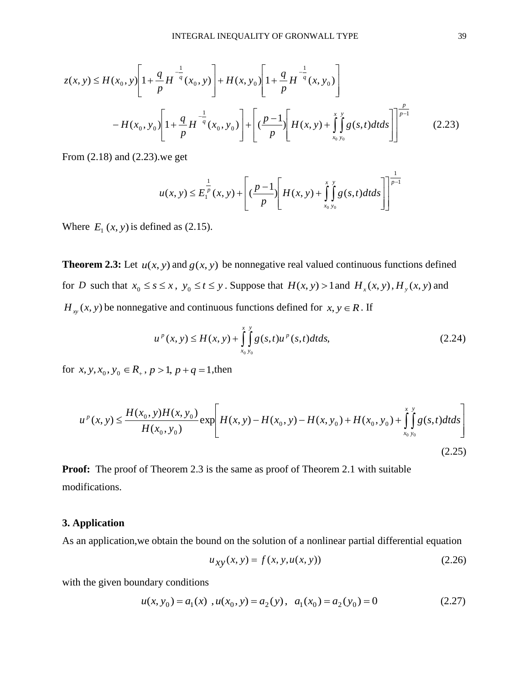$$
z(x, y) \le H(x_0, y) \left[ 1 + \frac{q}{p} H^{-\frac{1}{q}}(x_0, y) \right] + H(x, y_0) \left[ 1 + \frac{q}{p} H^{-\frac{1}{q}}(x, y_0) \right]
$$

$$
-H(x_0, y_0) \left[ 1 + \frac{q}{p} H^{-\frac{1}{q}}(x_0, y_0) \right] + \left[ \left( \frac{p-1}{p} \right) \left[ H(x, y) + \int_{x_0, y_0}^{x} g(s, t) dt ds \right] \right]^{\frac{p}{p-1}} \tag{2.23}
$$

From (2.18) and (2.23).we get

$$
u(x, y) \le E_1^{\frac{1}{p}}(x, y) + \left[ \left( \frac{p-1}{p} \right) \left[ H(x, y) + \int_{x_0, y_0}^{x} \int_{y_0}^{y} g(s, t) dt ds \right] \right]^{\frac{1}{p-1}}
$$

Where  $E_1(x, y)$  is defined as (2.15).

**Theorem 2.3:** Let  $u(x, y)$  and  $g(x, y)$  be nonnegative real valued continuous functions defined for *D* such that  $x_0 \le s \le x$ ,  $y_0 \le t \le y$ . Suppose that  $H(x, y) > 1$  and  $H_x(x, y)$ ,  $H_y(x, y)$  and  $H_{xy}(x, y)$  be nonnegative and continuous functions defined for  $x, y \in R$ . If

$$
u^{p}(x, y) \le H(x, y) + \int_{x_0}^{x} \int_{y_0}^{y} g(s, t) u^{p}(s, t) dt ds,
$$
\n(2.24)

for  $x, y, x_0, y_0 \in R_+$ ,  $p > 1$ ,  $p + q = 1$ , then

$$
u^{p}(x, y) \le \frac{H(x_0, y)H(x, y_0)}{H(x_0, y_0)} \exp\left[H(x, y) - H(x_0, y) - H(x, y_0) + H(x_0, y_0) + \int_{x_0, y_0}^{x} g(s, t) dt ds\right]
$$
\n(2.25)

**Proof:** The proof of Theorem 2.3 is the same as proof of Theorem 2.1 with suitable modifications.

# **3. Application**

As an application,we obtain the bound on the solution of a nonlinear partial differential equation

$$
u_{xy}(x, y) = f(x, y, u(x, y))
$$
\n(2.26)

with the given boundary conditions

$$
u(x, y_0) = a_1(x) , u(x_0, y) = a_2(y) , a_1(x_0) = a_2(y_0) = 0
$$
\n(2.27)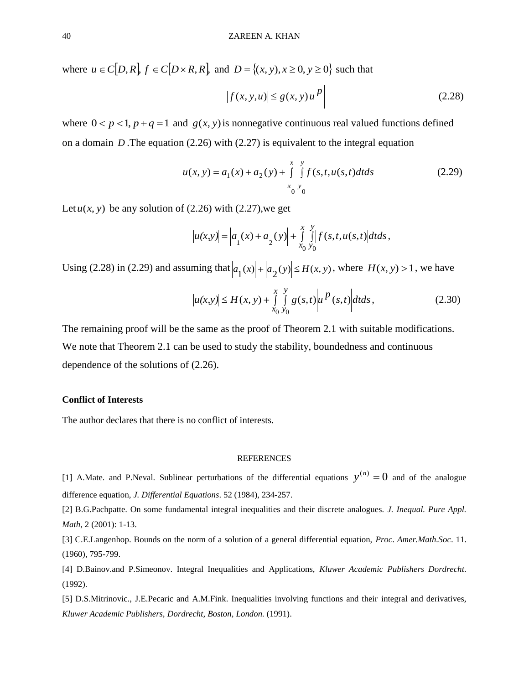where  $u \in C[D, R], f \in C[D \times R, R],$  and  $D = \{(x, y), x \ge 0, y \ge 0\}$  such that

$$
\left|f(x, y, u)\right| \le g(x, y) \left|u\right|^p\right| \tag{2.28}
$$

where  $0 < p < 1$ ,  $p + q = 1$  and  $g(x, y)$  is nonnegative continuous real valued functions defined on a domain  $D$ . The equation  $(2.26)$  with  $(2.27)$  is equivalent to the integral equation

$$
u(x, y) = a_1(x) + a_2(y) + \int_{x_0}^{x} \int_{y_0}^{y} f(s, t, u(s, t) + s) dt
$$
 (2.29)

Let  $u(x, y)$  be any solution of (2.26) with (2.27), we get

$$
|u(x,y)| = \left| a_1(x) + a_2(y) \right| + \int_{x_0}^{x} \int_{y_0}^{y} |f(s,t,u(s,t)|) dt ds,
$$

Using (2.28) in (2.29) and assuming that  $|a_1(x)| + |a_2(y)| \le H(x, y)$ , where  $H(x, y) > 1$ , we have

$$
|u(x,y)| \le H(x,y) + \int_{x_0}^{x} \int_{y_0}^{y} g(s,t) |u|^p(s,t) dt ds,
$$
 (2.30)

The remaining proof will be the same as the proof of Theorem 2.1 with suitable modifications. We note that Theorem 2.1 can be used to study the stability, boundedness and continuous dependence of the solutions of (2.26).

#### **Conflict of Interests**

The author declares that there is no conflict of interests.

#### **REFERENCES**

[1] A.Mate. and P.Neval. Sublinear perturbations of the differential equations  $y^{(n)} = 0$  and of the analogue difference equation, *J. Differential Equations*. 52 (1984), 234-257.

[2] B.G.Pachpatte. On some fundamental integral inequalities and their discrete analogues. *J. Inequal. Pure Appl. Math*, 2 (2001): 1-13.

[3] C.E.Langenhop. Bounds on the norm of a solution of a general differential equation, *Proc*. *Amer.Math.Soc*. 11. (1960), 795-799.

[4] D.Bainov.and P.Simeonov. Integral Inequalities and Applications, *Kluwer Academic Publishers Dordrecht*. (1992).

[5] D.S.Mitrinovic., J.E.Pecaric and A.M.Fink. Inequalities involving functions and their integral and derivatives, *Kluwer Academic Publishers, Dordrecht, Boston, London.* (1991).